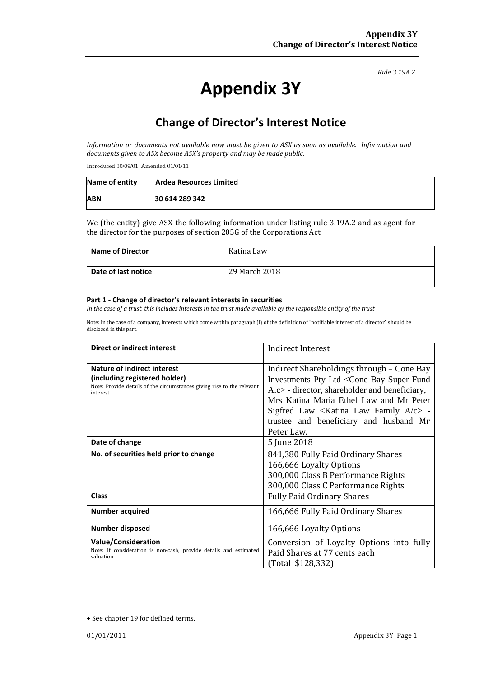#### *Rule 3.19A.2*

# **Appendix 3Y**

## **Change of Director's Interest Notice**

*Information or documents not available now must be given to ASX as soon as available. Information and documents given to ASX become ASX's property and may be made public.*

Introduced 30/09/01 Amended 01/01/11

| Name of entity | <b>Ardea Resources Limited</b> |
|----------------|--------------------------------|
| <b>ABN</b>     | 30 614 289 342                 |

We (the entity) give ASX the following information under listing rule 3.19A.2 and as agent for the director for the purposes of section 205G of the Corporations Act.

| <b>Name of Director</b> | Katina Law    |
|-------------------------|---------------|
| Date of last notice     | 29 March 2018 |

#### **Part 1 - Change of director's relevant interests in securities**

*In the case of a trust, this includes interests in the trust made available by the responsible entity of the trust*

Note: In the case of a company, interests which come within paragraph (i) of the definition of "notifiable interest of a director" should be disclosed in this part.

| Direct or indirect interest                                                                                                                                | Indirect Interest                                                                                                                                                                                                                                                                                                              |
|------------------------------------------------------------------------------------------------------------------------------------------------------------|--------------------------------------------------------------------------------------------------------------------------------------------------------------------------------------------------------------------------------------------------------------------------------------------------------------------------------|
| <b>Nature of indirect interest</b><br>(including registered holder)<br>Note: Provide details of the circumstances giving rise to the relevant<br>interest. | Indirect Shareholdings through - Cone Bay<br>Investments Pty Ltd <cone bay="" fund<br="" super="">A.c&gt; - director, shareholder and beneficiary,<br/>Mrs Katina Maria Ethel Law and Mr Peter<br/>Sigfred Law <katina a="" c="" family="" law=""> -<br/>trustee and beneficiary and husband Mr<br/>Peter Law.</katina></cone> |
| Date of change                                                                                                                                             | 5 June 2018                                                                                                                                                                                                                                                                                                                    |
| No. of securities held prior to change                                                                                                                     | 841,380 Fully Paid Ordinary Shares<br>166,666 Loyalty Options<br>300,000 Class B Performance Rights<br>300,000 Class C Performance Rights                                                                                                                                                                                      |
| Class                                                                                                                                                      | <b>Fully Paid Ordinary Shares</b>                                                                                                                                                                                                                                                                                              |
| <b>Number acquired</b>                                                                                                                                     | 166,666 Fully Paid Ordinary Shares                                                                                                                                                                                                                                                                                             |
| Number disposed                                                                                                                                            | 166,666 Loyalty Options                                                                                                                                                                                                                                                                                                        |
| <b>Value/Consideration</b><br>Note: If consideration is non-cash, provide details and estimated<br>valuation                                               | Conversion of Loyalty Options into fully<br>Paid Shares at 77 cents each<br>(Total \$128,332)                                                                                                                                                                                                                                  |

<sup>+</sup> See chapter 19 for defined terms.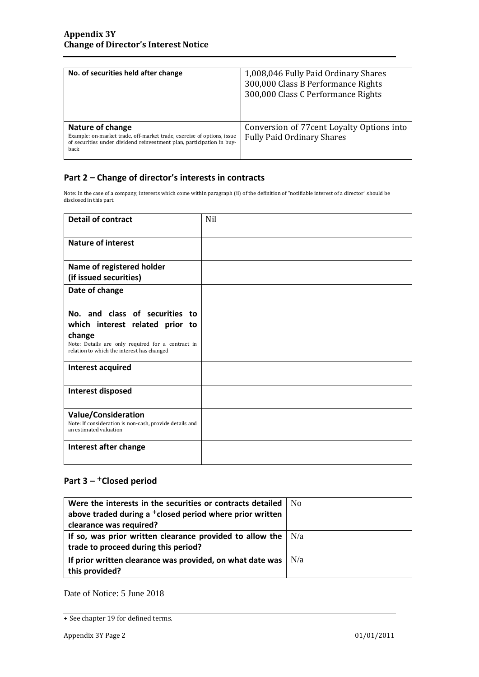| No. of securities held after change                                                                                                                                         | 1,008,046 Fully Paid Ordinary Shares<br>300,000 Class B Performance Rights<br>300,000 Class C Performance Rights |
|-----------------------------------------------------------------------------------------------------------------------------------------------------------------------------|------------------------------------------------------------------------------------------------------------------|
| Nature of change<br>Example: on-market trade, off-market trade, exercise of options, issue<br>of securities under dividend reinvestment plan, participation in buy-<br>back | Conversion of 77 cent Loyalty Options into<br><b>Fully Paid Ordinary Shares</b>                                  |

### **Part 2 – Change of director's interests in contracts**

Note: In the case of a company, interests which come within paragraph (ii) of the definition of "notifiable interest of a director" should be disclosed in this part.

| <b>Detail of contract</b>                                                                                                                                                      | <b>Nil</b> |
|--------------------------------------------------------------------------------------------------------------------------------------------------------------------------------|------------|
| <b>Nature of interest</b>                                                                                                                                                      |            |
| Name of registered holder<br>(if issued securities)                                                                                                                            |            |
| Date of change                                                                                                                                                                 |            |
| No. and class of securities to<br>which interest related prior to<br>change<br>Note: Details are only required for a contract in<br>relation to which the interest has changed |            |
| Interest acquired                                                                                                                                                              |            |
| Interest disposed                                                                                                                                                              |            |
| <b>Value/Consideration</b><br>Note: If consideration is non-cash, provide details and<br>an estimated valuation                                                                |            |
| Interest after change                                                                                                                                                          |            |

## **Part 3 –** +**Closed period**

| Were the interests in the securities or contracts detailed           | $N_{\Omega}$ |
|----------------------------------------------------------------------|--------------|
| above traded during a <sup>+</sup> closed period where prior written |              |
| clearance was required?                                              |              |
| If so, was prior written clearance provided to allow the $\vert$ N/a |              |
| trade to proceed during this period?                                 |              |
| If prior written clearance was provided, on what date was            | N/a          |
| this provided?                                                       |              |

Date of Notice: 5 June 2018

<sup>+</sup> See chapter 19 for defined terms.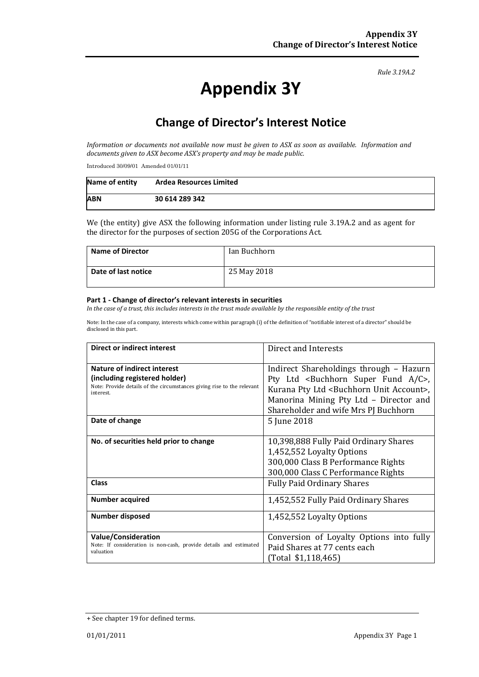#### *Rule 3.19A.2*

# **Appendix 3Y**

## **Change of Director's Interest Notice**

*Information or documents not available now must be given to ASX as soon as available. Information and documents given to ASX become ASX's property and may be made public.*

Introduced 30/09/01 Amended 01/01/11

| Name of entity | <b>Ardea Resources Limited</b> |
|----------------|--------------------------------|
| <b>ABN</b>     | 30 614 289 342                 |

We (the entity) give ASX the following information under listing rule 3.19A.2 and as agent for the director for the purposes of section 205G of the Corporations Act.

| <b>Name of Director</b> | Ian Buchhorn |
|-------------------------|--------------|
| Date of last notice     | 25 May 2018  |

#### **Part 1 - Change of director's relevant interests in securities**

*In the case of a trust, this includes interests in the trust made available by the responsible entity of the trust*

Note: In the case of a company, interests which come within paragraph (i) of the definition of "notifiable interest of a director" should be disclosed in this part.

| Direct or indirect interest                                                                                                                                | Direct and Interests                                                                                                                                                                                                                                  |
|------------------------------------------------------------------------------------------------------------------------------------------------------------|-------------------------------------------------------------------------------------------------------------------------------------------------------------------------------------------------------------------------------------------------------|
| <b>Nature of indirect interest</b><br>(including registered holder)<br>Note: Provide details of the circumstances giving rise to the relevant<br>interest. | Indirect Shareholdings through - Hazurn<br>Pty Ltd <buchhorn a="" c="" fund="" super="">,<br/>Kurana Pty Ltd <buchhorn account="" unit="">,<br/>Manorina Mining Pty Ltd - Director and<br/>Shareholder and wife Mrs PJ Buchhorn</buchhorn></buchhorn> |
| Date of change                                                                                                                                             | 5 June 2018                                                                                                                                                                                                                                           |
| No. of securities held prior to change                                                                                                                     | 10,398,888 Fully Paid Ordinary Shares<br>1,452,552 Loyalty Options<br>300,000 Class B Performance Rights<br>300,000 Class C Performance Rights                                                                                                        |
| <b>Class</b>                                                                                                                                               | <b>Fully Paid Ordinary Shares</b>                                                                                                                                                                                                                     |
| <b>Number acquired</b>                                                                                                                                     | 1,452,552 Fully Paid Ordinary Shares                                                                                                                                                                                                                  |
| <b>Number disposed</b>                                                                                                                                     | 1,452,552 Loyalty Options                                                                                                                                                                                                                             |
| <b>Value/Consideration</b><br>Note: If consideration is non-cash, provide details and estimated<br>valuation                                               | Conversion of Loyalty Options into fully<br>Paid Shares at 77 cents each<br>(Total \$1,118,465)                                                                                                                                                       |

<sup>+</sup> See chapter 19 for defined terms.